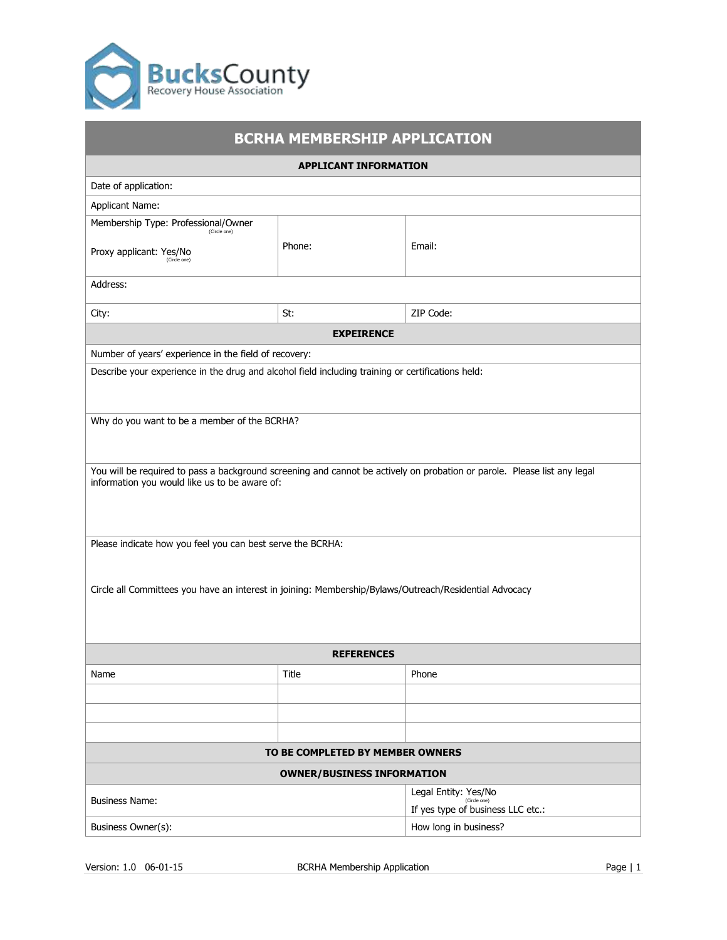

| <b>BCRHA MEMBERSHIP APPLICATION</b>                                                                                                                                       |                                   |                                                                           |  |  |  |  |
|---------------------------------------------------------------------------------------------------------------------------------------------------------------------------|-----------------------------------|---------------------------------------------------------------------------|--|--|--|--|
| <b>APPLICANT INFORMATION</b>                                                                                                                                              |                                   |                                                                           |  |  |  |  |
| Date of application:                                                                                                                                                      |                                   |                                                                           |  |  |  |  |
| <b>Applicant Name:</b>                                                                                                                                                    |                                   |                                                                           |  |  |  |  |
| Membership Type: Professional/Owner<br>(Circle one)                                                                                                                       |                                   |                                                                           |  |  |  |  |
| Proxy applicant: Yes/No<br>(Circle one)                                                                                                                                   | Phone:                            | Email:                                                                    |  |  |  |  |
| Address:                                                                                                                                                                  |                                   |                                                                           |  |  |  |  |
| City:                                                                                                                                                                     | St:                               | ZIP Code:                                                                 |  |  |  |  |
|                                                                                                                                                                           | <b>EXPEIRENCE</b>                 |                                                                           |  |  |  |  |
| Number of years' experience in the field of recovery:                                                                                                                     |                                   |                                                                           |  |  |  |  |
| Describe your experience in the drug and alcohol field including training or certifications held:                                                                         |                                   |                                                                           |  |  |  |  |
| Why do you want to be a member of the BCRHA?                                                                                                                              |                                   |                                                                           |  |  |  |  |
| You will be required to pass a background screening and cannot be actively on probation or parole. Please list any legal<br>information you would like us to be aware of: |                                   |                                                                           |  |  |  |  |
| Please indicate how you feel you can best serve the BCRHA:                                                                                                                |                                   |                                                                           |  |  |  |  |
| Circle all Committees you have an interest in joining: Membership/Bylaws/Outreach/Residential Advocacy                                                                    |                                   |                                                                           |  |  |  |  |
| <b>REFERENCES</b>                                                                                                                                                         |                                   |                                                                           |  |  |  |  |
| Name                                                                                                                                                                      | <b>Title</b>                      | Phone                                                                     |  |  |  |  |
|                                                                                                                                                                           |                                   |                                                                           |  |  |  |  |
|                                                                                                                                                                           |                                   |                                                                           |  |  |  |  |
|                                                                                                                                                                           |                                   |                                                                           |  |  |  |  |
| TO BE COMPLETED BY MEMBER OWNERS                                                                                                                                          |                                   |                                                                           |  |  |  |  |
|                                                                                                                                                                           | <b>OWNER/BUSINESS INFORMATION</b> |                                                                           |  |  |  |  |
| <b>Business Name:</b>                                                                                                                                                     |                                   | Legal Entity: Yes/No<br>(Circle one)<br>If yes type of business LLC etc.: |  |  |  |  |
| Business Owner(s):                                                                                                                                                        |                                   | How long in business?                                                     |  |  |  |  |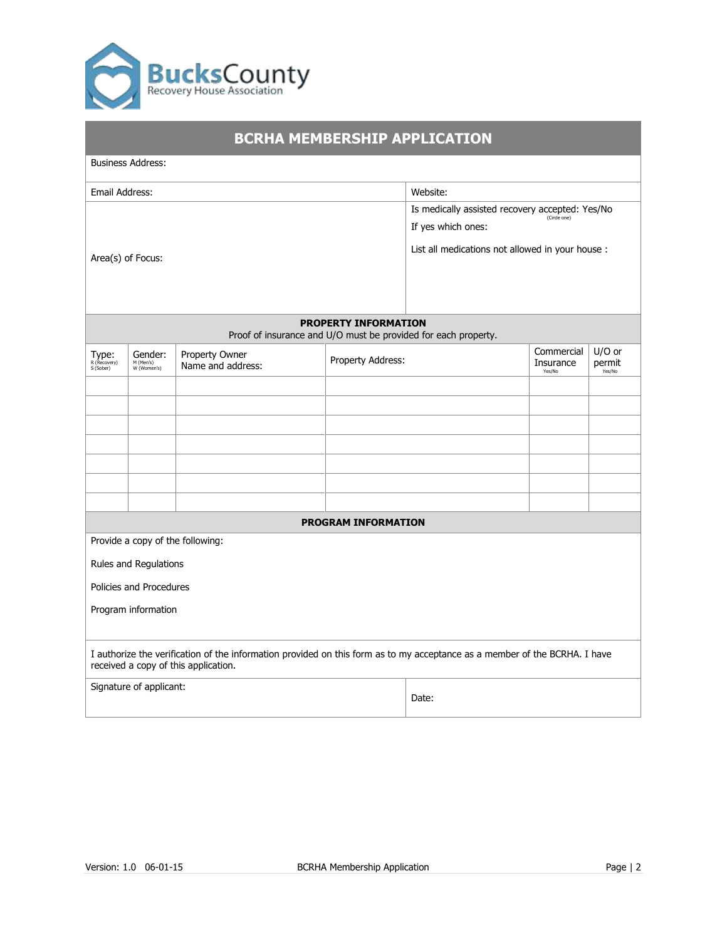

| <b>BCRHA MEMBERSHIP APPLICATION</b>                                                                                                                                |                                                                                               |                                                                                                                                           |                            |       |                                   |                            |  |  |
|--------------------------------------------------------------------------------------------------------------------------------------------------------------------|-----------------------------------------------------------------------------------------------|-------------------------------------------------------------------------------------------------------------------------------------------|----------------------------|-------|-----------------------------------|----------------------------|--|--|
|                                                                                                                                                                    | <b>Business Address:</b>                                                                      |                                                                                                                                           |                            |       |                                   |                            |  |  |
| Email Address:                                                                                                                                                     |                                                                                               | Website:                                                                                                                                  |                            |       |                                   |                            |  |  |
| Area(s) of Focus:                                                                                                                                                  |                                                                                               | Is medically assisted recovery accepted: Yes/No<br>(Circle one)<br>If yes which ones:<br>List all medications not allowed in your house : |                            |       |                                   |                            |  |  |
|                                                                                                                                                                    | <b>PROPERTY INFORMATION</b><br>Proof of insurance and U/O must be provided for each property. |                                                                                                                                           |                            |       |                                   |                            |  |  |
| Type:<br>R(Recovery)<br>S (Sober)                                                                                                                                  | Gender:<br>M (Men's)<br>W (Women's)                                                           | Property Owner<br>Name and address:                                                                                                       | Property Address:          |       | Commercial<br>Insurance<br>Yes/No | U/O or<br>permit<br>Yes/No |  |  |
|                                                                                                                                                                    |                                                                                               |                                                                                                                                           |                            |       |                                   |                            |  |  |
|                                                                                                                                                                    |                                                                                               |                                                                                                                                           |                            |       |                                   |                            |  |  |
|                                                                                                                                                                    |                                                                                               |                                                                                                                                           |                            |       |                                   |                            |  |  |
|                                                                                                                                                                    |                                                                                               |                                                                                                                                           |                            |       |                                   |                            |  |  |
|                                                                                                                                                                    |                                                                                               |                                                                                                                                           |                            |       |                                   |                            |  |  |
|                                                                                                                                                                    |                                                                                               |                                                                                                                                           |                            |       |                                   |                            |  |  |
|                                                                                                                                                                    |                                                                                               |                                                                                                                                           | <b>PROGRAM INFORMATION</b> |       |                                   |                            |  |  |
|                                                                                                                                                                    | Provide a copy of the following:                                                              |                                                                                                                                           |                            |       |                                   |                            |  |  |
| Rules and Regulations                                                                                                                                              |                                                                                               |                                                                                                                                           |                            |       |                                   |                            |  |  |
| Policies and Procedures                                                                                                                                            |                                                                                               |                                                                                                                                           |                            |       |                                   |                            |  |  |
|                                                                                                                                                                    | Program information                                                                           |                                                                                                                                           |                            |       |                                   |                            |  |  |
| I authorize the verification of the information provided on this form as to my acceptance as a member of the BCRHA. I have<br>received a copy of this application. |                                                                                               |                                                                                                                                           |                            |       |                                   |                            |  |  |
|                                                                                                                                                                    | Signature of applicant:                                                                       |                                                                                                                                           |                            | Date: |                                   |                            |  |  |